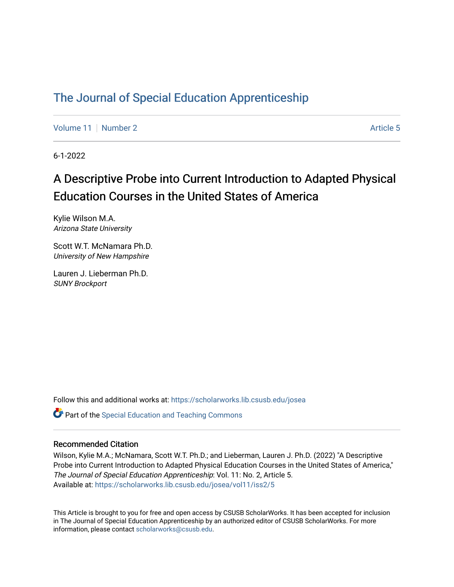# [The Journal of Special Education Apprenticeship](https://scholarworks.lib.csusb.edu/josea)

[Volume 11](https://scholarworks.lib.csusb.edu/josea/vol11) | [Number 2](https://scholarworks.lib.csusb.edu/josea/vol11/iss2) Article 5

6-1-2022

# A Descriptive Probe into Current Introduction to Adapted Physical Education Courses in the United States of America

Kylie Wilson M.A. Arizona State University

Scott W.T. McNamara Ph.D. University of New Hampshire

Lauren J. Lieberman Ph.D. SUNY Brockport

Follow this and additional works at: [https://scholarworks.lib.csusb.edu/josea](https://scholarworks.lib.csusb.edu/josea?utm_source=scholarworks.lib.csusb.edu%2Fjosea%2Fvol11%2Fiss2%2F5&utm_medium=PDF&utm_campaign=PDFCoverPages) 

**P** Part of the Special Education and Teaching Commons

## Recommended Citation

Wilson, Kylie M.A.; McNamara, Scott W.T. Ph.D.; and Lieberman, Lauren J. Ph.D. (2022) "A Descriptive Probe into Current Introduction to Adapted Physical Education Courses in the United States of America," The Journal of Special Education Apprenticeship: Vol. 11: No. 2, Article 5. Available at: [https://scholarworks.lib.csusb.edu/josea/vol11/iss2/5](https://scholarworks.lib.csusb.edu/josea/vol11/iss2/5?utm_source=scholarworks.lib.csusb.edu%2Fjosea%2Fvol11%2Fiss2%2F5&utm_medium=PDF&utm_campaign=PDFCoverPages)

This Article is brought to you for free and open access by CSUSB ScholarWorks. It has been accepted for inclusion in The Journal of Special Education Apprenticeship by an authorized editor of CSUSB ScholarWorks. For more information, please contact [scholarworks@csusb.edu.](mailto:scholarworks@csusb.edu)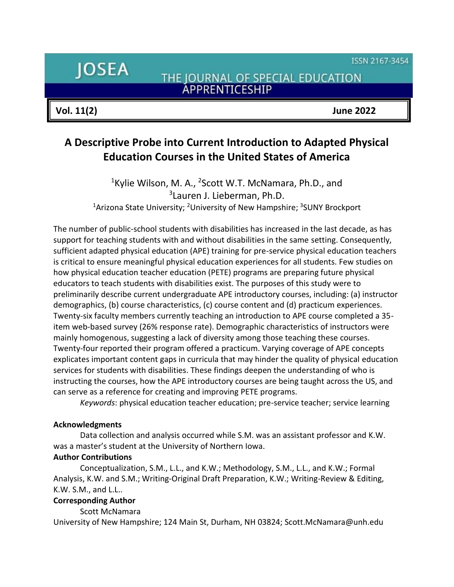ISSN 2167-3454

**JOSEA** 

THE JOURNAL OF SPECIAL EDUCATION **ÁPPRENTICESHIP** 

**Vol. 11(2) June 2022**

# **A Descriptive Probe into Current Introduction to Adapted Physical Education Courses in the United States of America**

<sup>1</sup>Kylie Wilson, M. A., <sup>2</sup>Scott W.T. McNamara, Ph.D., and 3 Lauren J. Lieberman, Ph.D. <sup>1</sup>Arizona State University; <sup>2</sup>University of New Hampshire; <sup>3</sup>SUNY Brockport

The number of public-school students with disabilities has increased in the last decade, as has support for teaching students with and without disabilities in the same setting. Consequently, sufficient adapted physical education (APE) training for pre-service physical education teachers is critical to ensure meaningful physical education experiences for all students. Few studies on how physical education teacher education (PETE) programs are preparing future physical educators to teach students with disabilities exist. The purposes of this study were to preliminarily describe current undergraduate APE introductory courses, including: (a) instructor demographics, (b) course characteristics, (c) course content and (d) practicum experiences. Twenty-six faculty members currently teaching an introduction to APE course completed a 35 item web-based survey (26% response rate). Demographic characteristics of instructors were mainly homogenous, suggesting a lack of diversity among those teaching these courses. Twenty-four reported their program offered a practicum. Varying coverage of APE concepts explicates important content gaps in curricula that may hinder the quality of physical education services for students with disabilities. These findings deepen the understanding of who is instructing the courses, how the APE introductory courses are being taught across the US, and can serve as a reference for creating and improving PETE programs.

*Keywords*: physical education teacher education; pre-service teacher; service learning

## **Acknowledgments**

Data collection and analysis occurred while S.M. was an assistant professor and K.W. was a master's student at the University of Northern Iowa.

## **Author Contributions**

Conceptualization, S.M., L.L., and K.W.; Methodology, S.M., L.L., and K.W.; Formal Analysis, K.W. and S.M.; Writing-Original Draft Preparation, K.W.; Writing-Review & Editing, K.W. S.M., and L.L..

# **Corresponding Author**

Scott McNamara

University of New Hampshire; 124 Main St, Durham, NH 03824; Scott.McNamara@unh.edu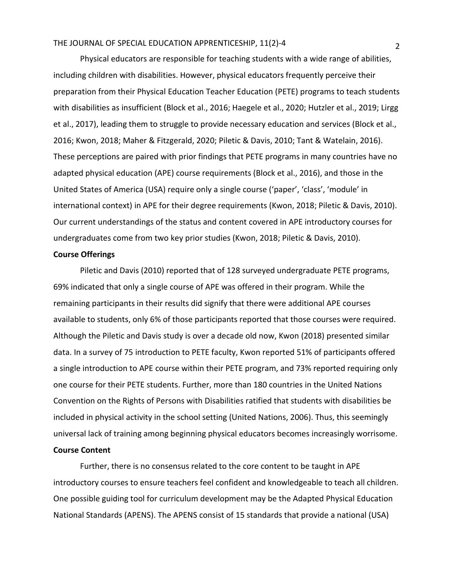Physical educators are responsible for teaching students with a wide range of abilities, including children with disabilities. However, physical educators frequently perceive their preparation from their Physical Education Teacher Education (PETE) programs to teach students with disabilities as insufficient (Block et al., 2016; Haegele et al., 2020; Hutzler et al., 2019; Lirgg et al., 2017), leading them to struggle to provide necessary education and services (Block et al., 2016; Kwon, 2018; Maher & Fitzgerald, 2020; Piletic & Davis, 2010; Tant & Watelain, 2016). These perceptions are paired with prior findings that PETE programs in many countries have no adapted physical education (APE) course requirements (Block et al., 2016), and those in the United States of America (USA) require only a single course ('paper', 'class', 'module' in international context) in APE for their degree requirements (Kwon, 2018; Piletic & Davis, 2010). Our current understandings of the status and content covered in APE introductory courses for undergraduates come from two key prior studies (Kwon, 2018; Piletic & Davis, 2010).

### **Course Offerings**

Piletic and Davis (2010) reported that of 128 surveyed undergraduate PETE programs, 69% indicated that only a single course of APE was offered in their program. While the remaining participants in their results did signify that there were additional APE courses available to students, only 6% of those participants reported that those courses were required. Although the Piletic and Davis study is over a decade old now, Kwon (2018) presented similar data. In a survey of 75 introduction to PETE faculty, Kwon reported 51% of participants offered a single introduction to APE course within their PETE program, and 73% reported requiring only one course for their PETE students. Further, more than 180 countries in the United Nations Convention on the Rights of Persons with Disabilities ratified that students with disabilities be included in physical activity in the school setting (United Nations, 2006). Thus, this seemingly universal lack of training among beginning physical educators becomes increasingly worrisome. **Course Content**

Further, there is no consensus related to the core content to be taught in APE introductory courses to ensure teachers feel confident and knowledgeable to teach all children. One possible guiding tool for curriculum development may be the Adapted Physical Education National Standards (APENS). The APENS consist of 15 standards that provide a national (USA)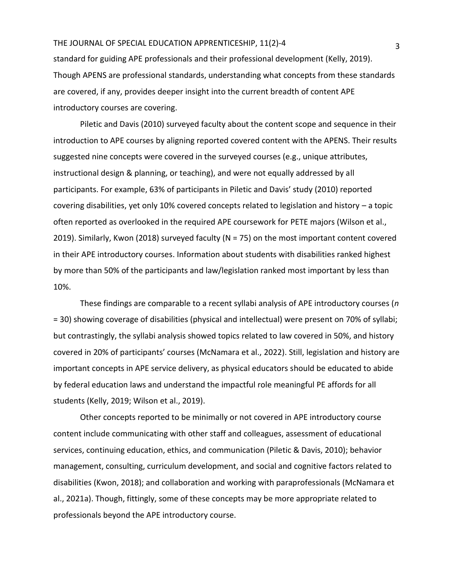standard for guiding APE professionals and their professional development (Kelly, 2019). Though APENS are professional standards, understanding what concepts from these standards are covered, if any, provides deeper insight into the current breadth of content APE introductory courses are covering.

Piletic and Davis (2010) surveyed faculty about the content scope and sequence in their introduction to APE courses by aligning reported covered content with the APENS. Their results suggested nine concepts were covered in the surveyed courses (e.g., unique attributes, instructional design & planning, or teaching), and were not equally addressed by all participants. For example, 63% of participants in Piletic and Davis' study (2010) reported covering disabilities, yet only 10% covered concepts related to legislation and history – a topic often reported as overlooked in the required APE coursework for PETE majors (Wilson et al., 2019). Similarly, Kwon (2018) surveyed faculty (N = 75) on the most important content covered in their APE introductory courses. Information about students with disabilities ranked highest by more than 50% of the participants and law/legislation ranked most important by less than 10%.

These findings are comparable to a recent syllabi analysis of APE introductory courses (*n* = 30) showing coverage of disabilities (physical and intellectual) were present on 70% of syllabi; but contrastingly, the syllabi analysis showed topics related to law covered in 50%, and history covered in 20% of participants' courses (McNamara et al., 2022). Still, legislation and history are important concepts in APE service delivery, as physical educators should be educated to abide by federal education laws and understand the impactful role meaningful PE affords for all students (Kelly, 2019; Wilson et al., 2019).

Other concepts reported to be minimally or not covered in APE introductory course content include communicating with other staff and colleagues, assessment of educational services, continuing education, ethics, and communication (Piletic & Davis, 2010); behavior management, consulting, curriculum development, and social and cognitive factors related to disabilities (Kwon, 2018); and collaboration and working with paraprofessionals (McNamara et al., 2021a). Though, fittingly, some of these concepts may be more appropriate related to professionals beyond the APE introductory course.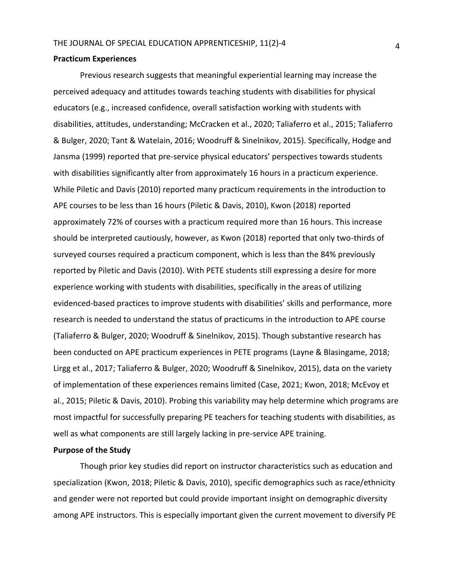#### **Practicum Experiences**

Previous research suggests that meaningful experiential learning may increase the perceived adequacy and attitudes towards teaching students with disabilities for physical educators (e.g., increased confidence, overall satisfaction working with students with disabilities, attitudes, understanding; McCracken et al., 2020; Taliaferro et al., 2015; Taliaferro & Bulger, 2020; Tant & Watelain, 2016; Woodruff & Sinelnikov, 2015). Specifically, Hodge and Jansma (1999) reported that pre-service physical educators' perspectives towards students with disabilities significantly alter from approximately 16 hours in a practicum experience. While Piletic and Davis (2010) reported many practicum requirements in the introduction to APE courses to be less than 16 hours (Piletic & Davis, 2010), Kwon (2018) reported approximately 72% of courses with a practicum required more than 16 hours. This increase should be interpreted cautiously, however, as Kwon (2018) reported that only two-thirds of surveyed courses required a practicum component, which is less than the 84% previously reported by Piletic and Davis (2010). With PETE students still expressing a desire for more experience working with students with disabilities, specifically in the areas of utilizing evidenced-based practices to improve students with disabilities' skills and performance, more research is needed to understand the status of practicums in the introduction to APE course (Taliaferro & Bulger, 2020; Woodruff & Sinelnikov, 2015). Though substantive research has been conducted on APE practicum experiences in PETE programs (Layne & Blasingame, 2018; Lirgg et al., 2017; Taliaferro & Bulger, 2020; Woodruff & Sinelnikov, 2015), data on the variety of implementation of these experiences remains limited (Case, 2021; Kwon, 2018; McEvoy et al., 2015; Piletic & Davis, 2010). Probing this variability may help determine which programs are most impactful for successfully preparing PE teachers for teaching students with disabilities, as well as what components are still largely lacking in pre-service APE training.

## **Purpose of the Study**

Though prior key studies did report on instructor characteristics such as education and specialization (Kwon, 2018; Piletic & Davis, 2010), specific demographics such as race/ethnicity and gender were not reported but could provide important insight on demographic diversity among APE instructors. This is especially important given the current movement to diversify PE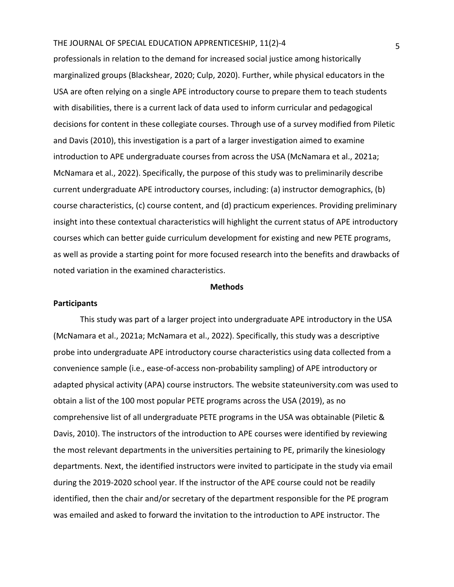professionals in relation to the demand for increased social justice among historically marginalized groups (Blackshear, 2020; Culp, 2020). Further, while physical educators in the USA are often relying on a single APE introductory course to prepare them to teach students with disabilities, there is a current lack of data used to inform curricular and pedagogical decisions for content in these collegiate courses. Through use of a survey modified from Piletic and Davis (2010), this investigation is a part of a larger investigation aimed to examine introduction to APE undergraduate courses from across the USA (McNamara et al., 2021a; McNamara et al., 2022). Specifically, the purpose of this study was to preliminarily describe current undergraduate APE introductory courses, including: (a) instructor demographics, (b) course characteristics, (c) course content, and (d) practicum experiences. Providing preliminary insight into these contextual characteristics will highlight the current status of APE introductory courses which can better guide curriculum development for existing and new PETE programs, as well as provide a starting point for more focused research into the benefits and drawbacks of noted variation in the examined characteristics.

#### **Methods**

#### **Participants**

This study was part of a larger project into undergraduate APE introductory in the USA (McNamara et al., 2021a; McNamara et al., 2022). Specifically, this study was a descriptive probe into undergraduate APE introductory course characteristics using data collected from a convenience sample (i.e., ease-of-access non-probability sampling) of APE introductory or adapted physical activity (APA) course instructors. The website stateuniversity.com was used to obtain a list of the 100 most popular PETE programs across the USA (2019), as no comprehensive list of all undergraduate PETE programs in the USA was obtainable (Piletic & Davis, 2010). The instructors of the introduction to APE courses were identified by reviewing the most relevant departments in the universities pertaining to PE, primarily the kinesiology departments. Next, the identified instructors were invited to participate in the study via email during the 2019-2020 school year. If the instructor of the APE course could not be readily identified, then the chair and/or secretary of the department responsible for the PE program was emailed and asked to forward the invitation to the introduction to APE instructor. The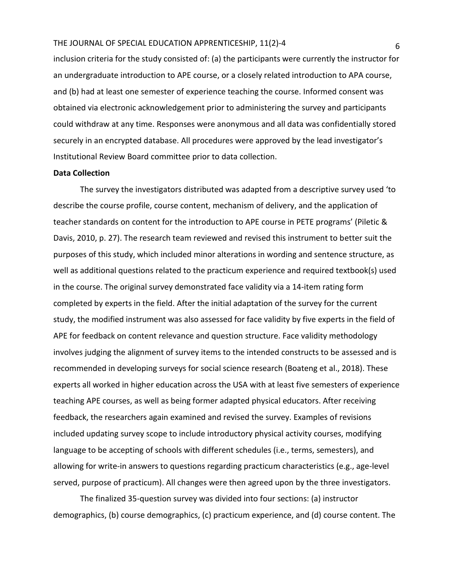inclusion criteria for the study consisted of: (a) the participants were currently the instructor for an undergraduate introduction to APE course, or a closely related introduction to APA course, and (b) had at least one semester of experience teaching the course. Informed consent was obtained via electronic acknowledgement prior to administering the survey and participants could withdraw at any time. Responses were anonymous and all data was confidentially stored securely in an encrypted database. All procedures were approved by the lead investigator's Institutional Review Board committee prior to data collection.

## **Data Collection**

The survey the investigators distributed was adapted from a descriptive survey used 'to describe the course profile, course content, mechanism of delivery, and the application of teacher standards on content for the introduction to APE course in PETE programs' (Piletic & Davis, 2010, p. 27). The research team reviewed and revised this instrument to better suit the purposes of this study, which included minor alterations in wording and sentence structure, as well as additional questions related to the practicum experience and required textbook(s) used in the course. The original survey demonstrated face validity via a 14-item rating form completed by experts in the field. After the initial adaptation of the survey for the current study, the modified instrument was also assessed for face validity by five experts in the field of APE for feedback on content relevance and question structure. Face validity methodology involves judging the alignment of survey items to the intended constructs to be assessed and is recommended in developing surveys for social science research (Boateng et al., 2018). These experts all worked in higher education across the USA with at least five semesters of experience teaching APE courses, as well as being former adapted physical educators. After receiving feedback, the researchers again examined and revised the survey. Examples of revisions included updating survey scope to include introductory physical activity courses, modifying language to be accepting of schools with different schedules (i.e., terms, semesters), and allowing for write-in answers to questions regarding practicum characteristics (e.g., age-level served, purpose of practicum). All changes were then agreed upon by the three investigators.

The finalized 35-question survey was divided into four sections: (a) instructor demographics, (b) course demographics, (c) practicum experience, and (d) course content. The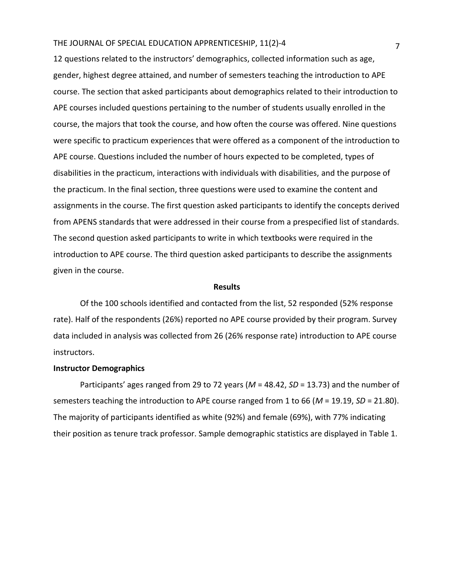12 questions related to the instructors' demographics, collected information such as age, gender, highest degree attained, and number of semesters teaching the introduction to APE course. The section that asked participants about demographics related to their introduction to APE courses included questions pertaining to the number of students usually enrolled in the course, the majors that took the course, and how often the course was offered. Nine questions were specific to practicum experiences that were offered as a component of the introduction to APE course. Questions included the number of hours expected to be completed, types of disabilities in the practicum, interactions with individuals with disabilities, and the purpose of the practicum. In the final section, three questions were used to examine the content and assignments in the course. The first question asked participants to identify the concepts derived from APENS standards that were addressed in their course from a prespecified list of standards. The second question asked participants to write in which textbooks were required in the introduction to APE course. The third question asked participants to describe the assignments given in the course.

#### **Results**

Of the 100 schools identified and contacted from the list, 52 responded (52% response rate). Half of the respondents (26%) reported no APE course provided by their program. Survey data included in analysis was collected from 26 (26% response rate) introduction to APE course instructors.

#### **Instructor Demographics**

Participants' ages ranged from 29 to 72 years (*M* = 48.42, *SD* = 13.73) and the number of semesters teaching the introduction to APE course ranged from 1 to 66 (*M* = 19.19, *SD* = 21.80). The majority of participants identified as white (92%) and female (69%), with 77% indicating their position as tenure track professor. Sample demographic statistics are displayed in Table 1.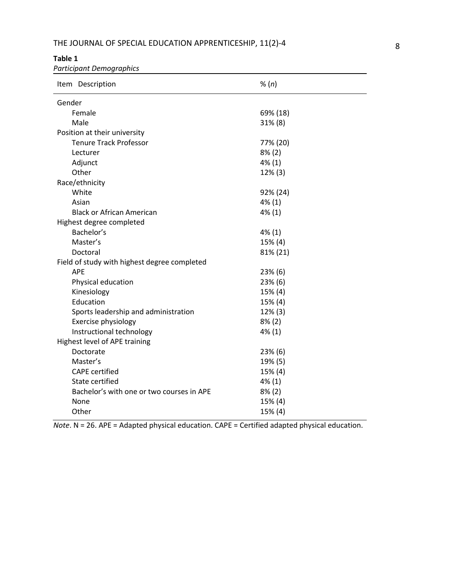## **Table 1**

*Participant Demographics*

| Item Description                             | % (n)     |
|----------------------------------------------|-----------|
| Gender                                       |           |
| Female                                       | 69% (18)  |
| Male                                         | 31% (8)   |
| Position at their university                 |           |
| <b>Tenure Track Professor</b>                | 77% (20)  |
| Lecturer                                     | $8\%$ (2) |
| Adjunct                                      | 4% (1)    |
| Other                                        | 12% (3)   |
| Race/ethnicity                               |           |
| White                                        | 92% (24)  |
| Asian                                        | 4% (1)    |
| <b>Black or African American</b>             | $4\%$ (1) |
| Highest degree completed                     |           |
| Bachelor's                                   | 4% (1)    |
| Master's                                     | 15% (4)   |
| Doctoral                                     | 81% (21)  |
| Field of study with highest degree completed |           |
| <b>APE</b>                                   | 23% (6)   |
| Physical education                           | 23% (6)   |
| Kinesiology                                  | 15% (4)   |
| Education                                    | 15% (4)   |
| Sports leadership and administration         | 12% (3)   |
| Exercise physiology                          | $8\%$ (2) |
| Instructional technology                     | 4% (1)    |
| Highest level of APE training                |           |
| Doctorate                                    | 23% (6)   |
| Master's                                     | 19% (5)   |
| <b>CAPE</b> certified                        | 15% (4)   |
| State certified                              | 4% (1)    |
| Bachelor's with one or two courses in APE    | $8\%$ (2) |
| None                                         | 15% (4)   |
| Other                                        | 15% (4)   |

*Note*. N = 26. APE = Adapted physical education. CAPE = Certified adapted physical education.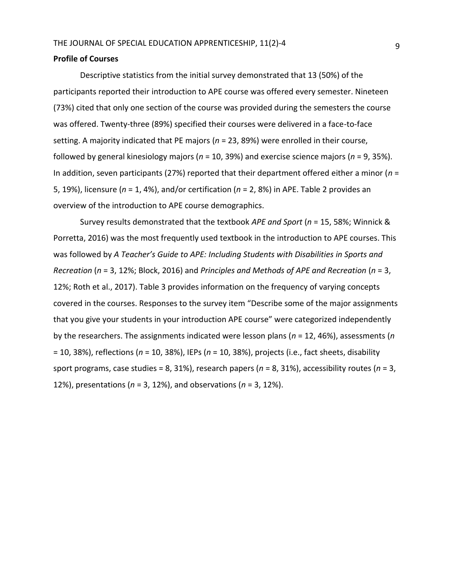## **Profile of Courses**

Descriptive statistics from the initial survey demonstrated that 13 (50%) of the participants reported their introduction to APE course was offered every semester. Nineteen (73%) cited that only one section of the course was provided during the semesters the course was offered. Twenty-three (89%) specified their courses were delivered in a face-to-face setting. A majority indicated that PE majors (*n* = 23, 89%) were enrolled in their course, followed by general kinesiology majors (*n* = 10, 39%) and exercise science majors (*n* = 9, 35%). In addition, seven participants (27%) reported that their department offered either a minor (*n* = 5, 19%), licensure (*n* = 1, 4%), and/or certification (*n* = 2, 8%) in APE. Table 2 provides an overview of the introduction to APE course demographics.

Survey results demonstrated that the textbook *APE and Sport* (*n* = 15, 58%; Winnick & Porretta, 2016) was the most frequently used textbook in the introduction to APE courses. This was followed by *A Teacher's Guide to APE: Including Students with Disabilities in Sports and Recreation* (*n* = 3, 12%; Block, 2016) and *Principles and Methods of APE and Recreation* (*n* = 3, 12%; Roth et al., 2017). Table 3 provides information on the frequency of varying concepts covered in the courses. Responses to the survey item "Describe some of the major assignments that you give your students in your introduction APE course" were categorized independently by the researchers. The assignments indicated were lesson plans (*n* = 12, 46%), assessments (*n* = 10, 38%), reflections (*n* = 10, 38%), IEPs (*n* = 10, 38%), projects (i.e., fact sheets, disability sport programs, case studies = 8, 31%), research papers (*n* = 8, 31%), accessibility routes (*n* = 3, 12%), presentations (*n* = 3, 12%), and observations (*n* = 3, 12%).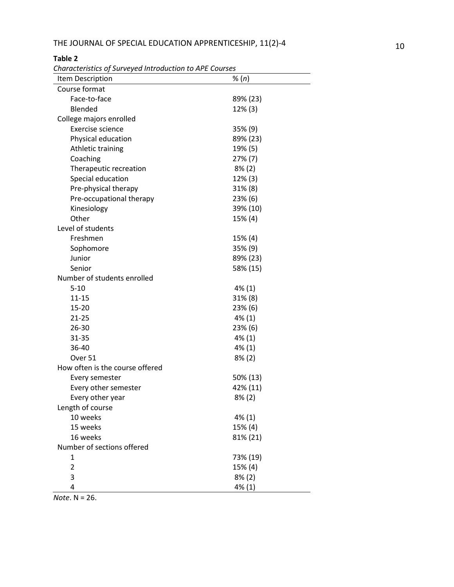# **Table 2**

*Characteristics of Surveyed Introduction to APE Courses*

| Characteristics of Sarveyca introduction to Art Courses<br>Item Description | % (n)      |
|-----------------------------------------------------------------------------|------------|
| Course format                                                               |            |
| Face-to-face                                                                | 89% (23)   |
| Blended                                                                     | 12% (3)    |
| College majors enrolled                                                     |            |
| Exercise science                                                            | 35% (9)    |
| Physical education                                                          | 89% (23)   |
| Athletic training                                                           | 19% (5)    |
| Coaching                                                                    | 27% (7)    |
| Therapeutic recreation                                                      | $8\%$ (2)  |
| Special education                                                           | $12\%$ (3) |
| Pre-physical therapy                                                        | $31\%$ (8) |
| Pre-occupational therapy                                                    | 23% (6)    |
| Kinesiology                                                                 | 39% (10)   |
| Other                                                                       | 15% (4)    |
| Level of students                                                           |            |
| Freshmen                                                                    | 15% (4)    |
| Sophomore                                                                   | 35% (9)    |
| Junior                                                                      | 89% (23)   |
| Senior                                                                      | 58% (15)   |
| Number of students enrolled                                                 |            |
| $5 - 10$                                                                    | 4% (1)     |
| $11 - 15$                                                                   | $31\% (8)$ |
| 15-20                                                                       | 23% (6)    |
| $21 - 25$                                                                   | $4\%$ (1)  |
| 26-30                                                                       | 23% (6)    |
| $31 - 35$                                                                   | 4% (1)     |
| 36-40                                                                       | 4% (1)     |
| Over 51                                                                     | $8\%$ (2)  |
| How often is the course offered                                             |            |
| Every semester                                                              | 50% (13)   |
| Every other semester                                                        | 42% (11)   |
| Every other year                                                            | 8% (2)     |
| Length of course                                                            |            |
| 10 weeks                                                                    | $4\%$ (1)  |
| 15 weeks                                                                    | 15% (4)    |
| 16 weeks                                                                    | 81% (21)   |
| Number of sections offered                                                  |            |
| 1                                                                           | 73% (19)   |
| $\overline{2}$                                                              | 15% (4)    |
| 3                                                                           | $8\%$ (2)  |
| 4                                                                           | 4% (1)     |

*Note*. N = 26.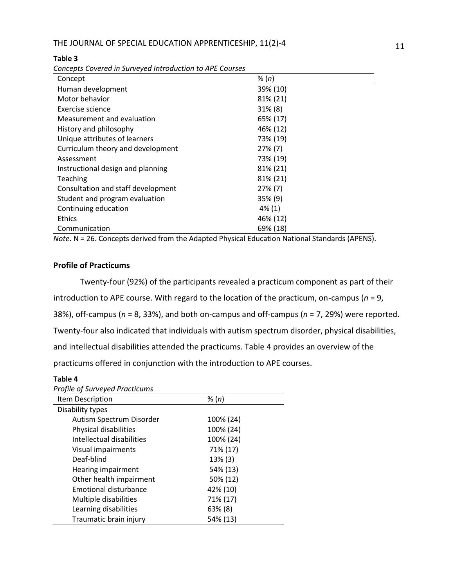| Concept                            | % (n)      |
|------------------------------------|------------|
| Human development                  | 39% (10)   |
| Motor behavior                     | 81% (21)   |
| Exercise science                   | 31% (8)    |
| Measurement and evaluation         | 65% (17)   |
| History and philosophy             | 46% (12)   |
| Unique attributes of learners      | 73% (19)   |
| Curriculum theory and development  | $27\%$ (7) |
| Assessment                         | 73% (19)   |
| Instructional design and planning  | 81% (21)   |
| Teaching                           | 81% (21)   |
| Consultation and staff development | $27\%$ (7) |
| Student and program evaluation     | $35\%$ (9) |
| Continuing education               | $4\%$ (1)  |
| <b>Ethics</b>                      | 46% (12)   |
| Communication                      | 69% (18)   |

#### **Table 3**

*Concepts Covered in Surveyed Introduction to APE Courses*

*Note*. N = 26. Concepts derived from the Adapted Physical Education National Standards (APENS).

## **Profile of Practicums**

Twenty-four (92%) of the participants revealed a practicum component as part of their introduction to APE course. With regard to the location of the practicum, on-campus (*n* = 9, 38%), off-campus (*n* = 8, 33%), and both on-campus and off-campus (*n* = 7, 29%) were reported. Twenty-four also indicated that individuals with autism spectrum disorder, physical disabilities, and intellectual disabilities attended the practicums. Table 4 provides an overview of the practicums offered in conjunction with the introduction to APE courses.

## **Table 4**

## *Profile of Surveyed Practicums*

| Item Description             | % (n)     |  |
|------------------------------|-----------|--|
| Disability types             |           |  |
| Autism Spectrum Disorder     | 100% (24) |  |
| Physical disabilities        | 100% (24) |  |
| Intellectual disabilities    | 100% (24) |  |
| Visual impairments           | 71% (17)  |  |
| Deaf-blind                   | 13% (3)   |  |
| Hearing impairment           | 54% (13)  |  |
| Other health impairment      | 50% (12)  |  |
| <b>Emotional disturbance</b> | 42% (10)  |  |
| Multiple disabilities        | 71% (17)  |  |
| Learning disabilities        | 63% (8)   |  |
| Traumatic brain injury       | 54% (13)  |  |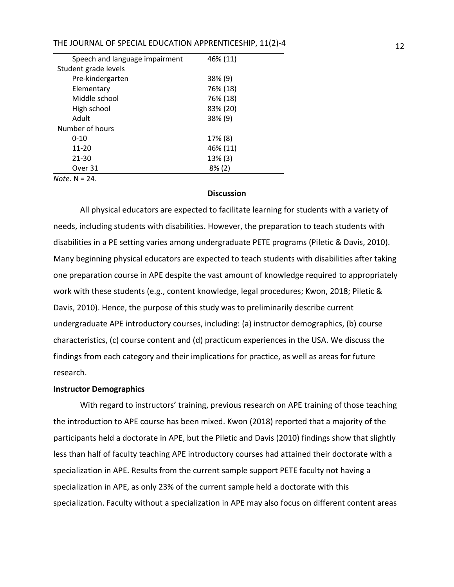| Speech and language impairment | 46% (11)  |  |
|--------------------------------|-----------|--|
| Student grade levels           |           |  |
| Pre-kindergarten               | 38% (9)   |  |
| Elementary                     | 76% (18)  |  |
| Middle school                  | 76% (18)  |  |
| High school                    | 83% (20)  |  |
| Adult                          | 38% (9)   |  |
| Number of hours                |           |  |
| $0 - 10$                       | 17% (8)   |  |
| 11-20                          | 46% (11)  |  |
| 21-30                          | 13% (3)   |  |
| Over 31                        | $8\%$ (2) |  |
| $N \cap H_0 \cap N = 24$       |           |  |

*Note*. N = 24.

#### **Discussion**

All physical educators are expected to facilitate learning for students with a variety of needs, including students with disabilities. However, the preparation to teach students with disabilities in a PE setting varies among undergraduate PETE programs (Piletic & Davis, 2010). Many beginning physical educators are expected to teach students with disabilities after taking one preparation course in APE despite the vast amount of knowledge required to appropriately work with these students (e.g., content knowledge, legal procedures; Kwon, 2018; Piletic & Davis, 2010). Hence, the purpose of this study was to preliminarily describe current undergraduate APE introductory courses, including: (a) instructor demographics, (b) course characteristics, (c) course content and (d) practicum experiences in the USA. We discuss the findings from each category and their implications for practice, as well as areas for future research.

### **Instructor Demographics**

With regard to instructors' training, previous research on APE training of those teaching the introduction to APE course has been mixed. Kwon (2018) reported that a majority of the participants held a doctorate in APE, but the Piletic and Davis (2010) findings show that slightly less than half of faculty teaching APE introductory courses had attained their doctorate with a specialization in APE. Results from the current sample support PETE faculty not having a specialization in APE, as only 23% of the current sample held a doctorate with this specialization. Faculty without a specialization in APE may also focus on different content areas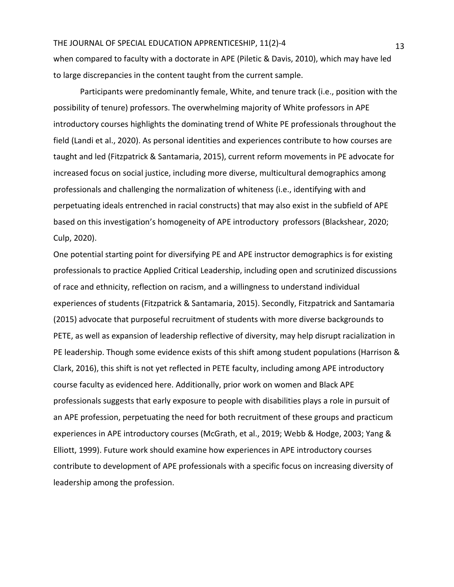when compared to faculty with a doctorate in APE (Piletic & Davis, 2010), which may have led to large discrepancies in the content taught from the current sample.

Participants were predominantly female, White, and tenure track (i.e., position with the possibility of tenure) professors. The overwhelming majority of White professors in APE introductory courses highlights the dominating trend of White PE professionals throughout the field (Landi et al., 2020). As personal identities and experiences contribute to how courses are taught and led (Fitzpatrick & Santamaria, 2015), current reform movements in PE advocate for increased focus on social justice, including more diverse, multicultural demographics among professionals and challenging the normalization of whiteness (i.e., identifying with and perpetuating ideals entrenched in racial constructs) that may also exist in the subfield of APE based on this investigation's homogeneity of APE introductory professors (Blackshear, 2020; Culp, 2020).

One potential starting point for diversifying PE and APE instructor demographics is for existing professionals to practice Applied Critical Leadership, including open and scrutinized discussions of race and ethnicity, reflection on racism, and a willingness to understand individual experiences of students (Fitzpatrick & Santamaria, 2015). Secondly, Fitzpatrick and Santamaria (2015) advocate that purposeful recruitment of students with more diverse backgrounds to PETE, as well as expansion of leadership reflective of diversity, may help disrupt racialization in PE leadership. Though some evidence exists of this shift among student populations (Harrison & Clark, 2016), this shift is not yet reflected in PETE faculty, including among APE introductory course faculty as evidenced here. Additionally, prior work on women and Black APE professionals suggests that early exposure to people with disabilities plays a role in pursuit of an APE profession, perpetuating the need for both recruitment of these groups and practicum experiences in APE introductory courses (McGrath, et al., 2019; Webb & Hodge, 2003; Yang & Elliott, 1999). Future work should examine how experiences in APE introductory courses contribute to development of APE professionals with a specific focus on increasing diversity of leadership among the profession.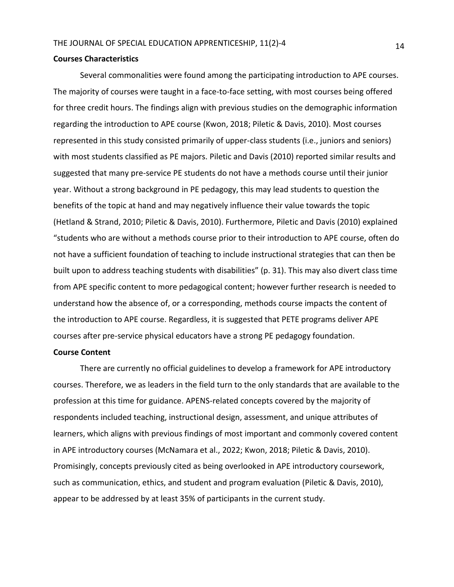#### **Courses Characteristics**

Several commonalities were found among the participating introduction to APE courses. The majority of courses were taught in a face-to-face setting, with most courses being offered for three credit hours. The findings align with previous studies on the demographic information regarding the introduction to APE course (Kwon, 2018; Piletic & Davis, 2010). Most courses represented in this study consisted primarily of upper-class students (i.e., juniors and seniors) with most students classified as PE majors. Piletic and Davis (2010) reported similar results and suggested that many pre-service PE students do not have a methods course until their junior year. Without a strong background in PE pedagogy, this may lead students to question the benefits of the topic at hand and may negatively influence their value towards the topic (Hetland & Strand, 2010; Piletic & Davis, 2010). Furthermore, Piletic and Davis (2010) explained "students who are without a methods course prior to their introduction to APE course, often do not have a sufficient foundation of teaching to include instructional strategies that can then be built upon to address teaching students with disabilities" (p. 31). This may also divert class time from APE specific content to more pedagogical content; however further research is needed to understand how the absence of, or a corresponding, methods course impacts the content of the introduction to APE course. Regardless, it is suggested that PETE programs deliver APE courses after pre-service physical educators have a strong PE pedagogy foundation.

#### **Course Content**

There are currently no official guidelines to develop a framework for APE introductory courses. Therefore, we as leaders in the field turn to the only standards that are available to the profession at this time for guidance. APENS-related concepts covered by the majority of respondents included teaching, instructional design, assessment, and unique attributes of learners, which aligns with previous findings of most important and commonly covered content in APE introductory courses (McNamara et al., 2022; Kwon, 2018; Piletic & Davis, 2010). Promisingly, concepts previously cited as being overlooked in APE introductory coursework, such as communication, ethics, and student and program evaluation (Piletic & Davis, 2010), appear to be addressed by at least 35% of participants in the current study.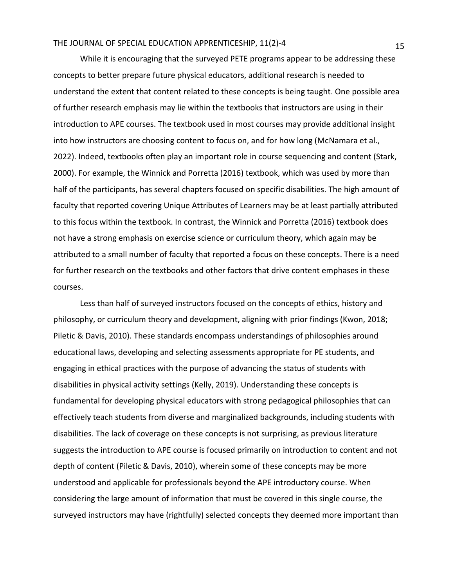While it is encouraging that the surveyed PETE programs appear to be addressing these concepts to better prepare future physical educators, additional research is needed to understand the extent that content related to these concepts is being taught. One possible area of further research emphasis may lie within the textbooks that instructors are using in their introduction to APE courses. The textbook used in most courses may provide additional insight into how instructors are choosing content to focus on, and for how long (McNamara et al., 2022). Indeed, textbooks often play an important role in course sequencing and content (Stark, 2000). For example, the Winnick and Porretta (2016) textbook, which was used by more than half of the participants, has several chapters focused on specific disabilities. The high amount of faculty that reported covering Unique Attributes of Learners may be at least partially attributed to this focus within the textbook. In contrast, the Winnick and Porretta (2016) textbook does not have a strong emphasis on exercise science or curriculum theory, which again may be attributed to a small number of faculty that reported a focus on these concepts. There is a need for further research on the textbooks and other factors that drive content emphases in these courses.

Less than half of surveyed instructors focused on the concepts of ethics, history and philosophy, or curriculum theory and development, aligning with prior findings (Kwon, 2018; Piletic & Davis, 2010). These standards encompass understandings of philosophies around educational laws, developing and selecting assessments appropriate for PE students, and engaging in ethical practices with the purpose of advancing the status of students with disabilities in physical activity settings (Kelly, 2019). Understanding these concepts is fundamental for developing physical educators with strong pedagogical philosophies that can effectively teach students from diverse and marginalized backgrounds, including students with disabilities. The lack of coverage on these concepts is not surprising, as previous literature suggests the introduction to APE course is focused primarily on introduction to content and not depth of content (Piletic & Davis, 2010), wherein some of these concepts may be more understood and applicable for professionals beyond the APE introductory course. When considering the large amount of information that must be covered in this single course, the surveyed instructors may have (rightfully) selected concepts they deemed more important than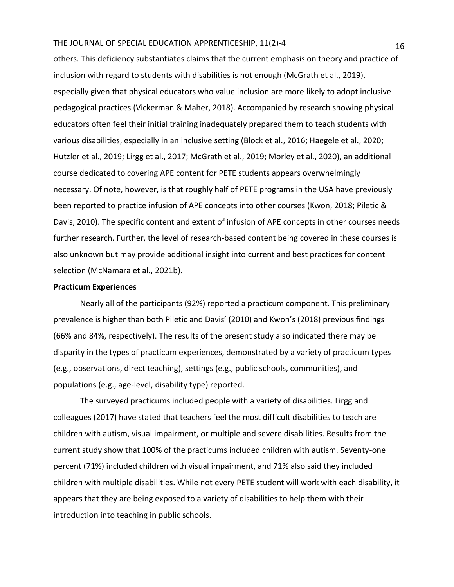others. This deficiency substantiates claims that the current emphasis on theory and practice of inclusion with regard to students with disabilities is not enough (McGrath et al., 2019), especially given that physical educators who value inclusion are more likely to adopt inclusive pedagogical practices (Vickerman & Maher, 2018). Accompanied by research showing physical educators often feel their initial training inadequately prepared them to teach students with various disabilities, especially in an inclusive setting (Block et al., 2016; Haegele et al., 2020; Hutzler et al., 2019; Lirgg et al., 2017; McGrath et al., 2019; Morley et al., 2020), an additional course dedicated to covering APE content for PETE students appears overwhelmingly necessary. Of note, however, is that roughly half of PETE programs in the USA have previously been reported to practice infusion of APE concepts into other courses (Kwon, 2018; Piletic & Davis, 2010). The specific content and extent of infusion of APE concepts in other courses needs further research. Further, the level of research-based content being covered in these courses is also unknown but may provide additional insight into current and best practices for content selection (McNamara et al., 2021b).

## **Practicum Experiences**

Nearly all of the participants (92%) reported a practicum component. This preliminary prevalence is higher than both Piletic and Davis' (2010) and Kwon's (2018) previous findings (66% and 84%, respectively). The results of the present study also indicated there may be disparity in the types of practicum experiences, demonstrated by a variety of practicum types (e.g., observations, direct teaching), settings (e.g., public schools, communities), and populations (e.g., age-level, disability type) reported.

The surveyed practicums included people with a variety of disabilities. Lirgg and colleagues (2017) have stated that teachers feel the most difficult disabilities to teach are children with autism, visual impairment, or multiple and severe disabilities. Results from the current study show that 100% of the practicums included children with autism. Seventy-one percent (71%) included children with visual impairment, and 71% also said they included children with multiple disabilities. While not every PETE student will work with each disability, it appears that they are being exposed to a variety of disabilities to help them with their introduction into teaching in public schools.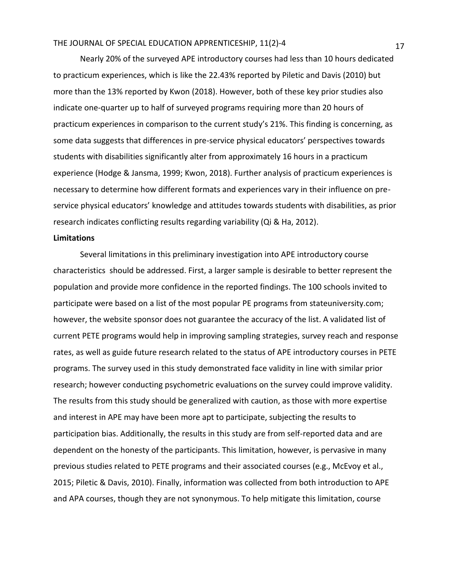Nearly 20% of the surveyed APE introductory courses had less than 10 hours dedicated to practicum experiences, which is like the 22.43% reported by Piletic and Davis (2010) but more than the 13% reported by Kwon (2018). However, both of these key prior studies also indicate one-quarter up to half of surveyed programs requiring more than 20 hours of practicum experiences in comparison to the current study's 21%. This finding is concerning, as some data suggests that differences in pre-service physical educators' perspectives towards students with disabilities significantly alter from approximately 16 hours in a practicum experience (Hodge & Jansma, 1999; Kwon, 2018). Further analysis of practicum experiences is necessary to determine how different formats and experiences vary in their influence on preservice physical educators' knowledge and attitudes towards students with disabilities, as prior research indicates conflicting results regarding variability (Qi & Ha, 2012).

#### **Limitations**

Several limitations in this preliminary investigation into APE introductory course characteristics should be addressed. First, a larger sample is desirable to better represent the population and provide more confidence in the reported findings. The 100 schools invited to participate were based on a list of the most popular PE programs from stateuniversity.com; however, the website sponsor does not guarantee the accuracy of the list. A validated list of current PETE programs would help in improving sampling strategies, survey reach and response rates, as well as guide future research related to the status of APE introductory courses in PETE programs. The survey used in this study demonstrated face validity in line with similar prior research; however conducting psychometric evaluations on the survey could improve validity. The results from this study should be generalized with caution, as those with more expertise and interest in APE may have been more apt to participate, subjecting the results to participation bias. Additionally, the results in this study are from self-reported data and are dependent on the honesty of the participants. This limitation, however, is pervasive in many previous studies related to PETE programs and their associated courses (e.g., McEvoy et al., 2015; Piletic & Davis, 2010). Finally, information was collected from both introduction to APE and APA courses, though they are not synonymous. To help mitigate this limitation, course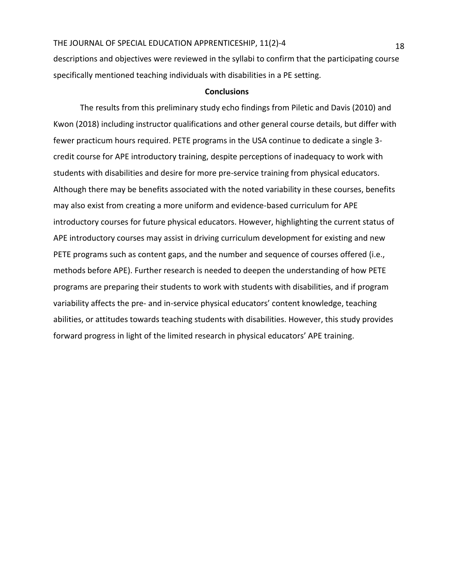descriptions and objectives were reviewed in the syllabi to confirm that the participating course specifically mentioned teaching individuals with disabilities in a PE setting.

#### **Conclusions**

The results from this preliminary study echo findings from Piletic and Davis (2010) and Kwon (2018) including instructor qualifications and other general course details, but differ with fewer practicum hours required. PETE programs in the USA continue to dedicate a single 3 credit course for APE introductory training, despite perceptions of inadequacy to work with students with disabilities and desire for more pre-service training from physical educators. Although there may be benefits associated with the noted variability in these courses, benefits may also exist from creating a more uniform and evidence-based curriculum for APE introductory courses for future physical educators. However, highlighting the current status of APE introductory courses may assist in driving curriculum development for existing and new PETE programs such as content gaps, and the number and sequence of courses offered (i.e., methods before APE). Further research is needed to deepen the understanding of how PETE programs are preparing their students to work with students with disabilities, and if program variability affects the pre- and in-service physical educators' content knowledge, teaching abilities, or attitudes towards teaching students with disabilities. However, this study provides forward progress in light of the limited research in physical educators' APE training.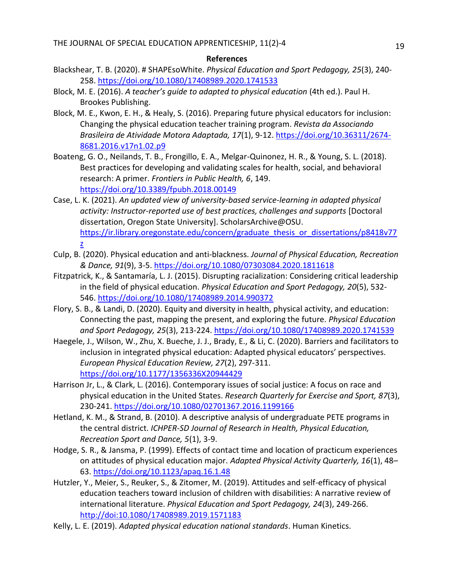#### **References**

- Blackshear, T. B. (2020). # SHAPEsoWhite. *Physical Education and Sport Pedagogy, 25*(3), 240- 258.<https://doi.org/10.1080/17408989.2020.1741533>
- Block, M. E. (2016). *A teacher's guide to adapted to physical education* (4th ed.). Paul H. Brookes Publishing.
- Block, M. E., Kwon, E. H., & Healy, S. (2016). Preparing future physical educators for inclusion: Changing the physical education teacher training program. *Revista da Associando Brasileira de Atividade Motora Adaptada, 17*(1), 9-12. [https://doi.org/10.36311/2674-](https://doi.org/10.36311/2674-8681.2016.v17n1.02.p9) [8681.2016.v17n1.02.p9](https://doi.org/10.36311/2674-8681.2016.v17n1.02.p9)
- Boateng, G. O., Neilands, T. B., Frongillo, E. A., Melgar-Quinonez, H. R., & Young, S. L. (2018). Best practices for developing and validating scales for health, social, and behavioral research: A primer. *Frontiers in Public Health, 6*, 149. <https://doi.org/10.3389/fpubh.2018.00149>
- Case, L. K. (2021). *An updated view of university-based service-learning in adapted physical activity: Instructor-reported use of best practices, challenges and supports* [Doctoral dissertation, Oregon State University]. ScholarsArchive@OSU. [https://ir.library.oregonstate.edu/concern/graduate\\_thesis\\_or\\_dissertations/p8418v77](https://ir.library.oregonstate.edu/concern/graduate_thesis_or_dissertations/p8418v77z) [z](https://ir.library.oregonstate.edu/concern/graduate_thesis_or_dissertations/p8418v77z)
- Culp, B. (2020). Physical education and anti-blackness. *Journal of Physical Education, Recreation & Dance, 91*(9), 3-5.<https://doi.org/10.1080/07303084.2020.1811618>
- Fitzpatrick, K., & Santamaría, L. J. (2015). Disrupting racialization: Considering critical leadership in the field of physical education. *Physical Education and Sport Pedagogy, 20*(5), 532- 546.<https://doi.org/10.1080/17408989.2014.990372>
- Flory, S. B., & Landi, D. (2020). Equity and diversity in health, physical activity, and education: Connecting the past, mapping the present, and exploring the future. *Physical Education and Sport Pedagogy, 25*(3), 213-224.<https://doi.org/10.1080/17408989.2020.1741539>
- Haegele, J., Wilson, W., Zhu, X. Bueche, J. J., Brady, E., & Li, C. (2020). Barriers and facilitators to inclusion in integrated physical education: Adapted physical educators' perspectives. *European Physical Education Review, 27*(2), 297-311. [https://doi.org/10.1177/1356336X20944429](https://doi.org/10.1177%2F1356336X20944429)
- Harrison Jr, L., & Clark, L. (2016). Contemporary issues of social justice: A focus on race and physical education in the United States. *Research Quarterly for Exercise and Sport, 87*(3), 230-241.<https://doi.org/10.1080/02701367.2016.1199166>
- Hetland, K. M., & Strand, B. (2010). A descriptive analysis of undergraduate PETE programs in the central district. *ICHPER-SD Journal of Research in Health, Physical Education, Recreation Sport and Dance, 5*(1), 3-9.
- Hodge, S. R., & Jansma, P. (1999). Effects of contact time and location of practicum experiences on attitudes of physical education major. *Adapted Physical Activity Quarterly, 16*(1), 48– 63.<https://doi.org/10.1123/apaq.16.1.48>
- Hutzler, Y., Meier, S., Reuker, S., & Zitomer, M. (2019). Attitudes and self-efficacy of physical education teachers toward inclusion of children with disabilities: A narrative review of international literature. *Physical Education and Sport Pedagogy, 24*(3), 249-266. <http://doi:10.1080/17408989.2019.1571183>
- Kelly, L. E. (2019). *Adapted physical education national standards*. Human Kinetics.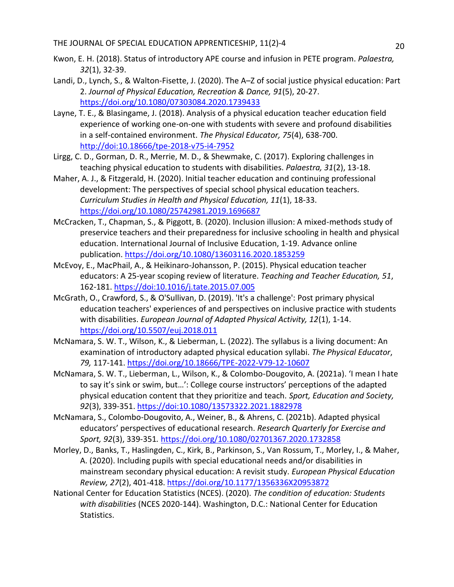- Kwon, E. H. (2018). Status of introductory APE course and infusion in PETE program. *Palaestra, 32*(1), 32-39.
- Landi, D., Lynch, S., & Walton-Fisette, J. (2020). The A–Z of social justice physical education: Part 2. *Journal of Physical Education, Recreation & Dance, 91*(5), 20-27. <https://doi.org/10.1080/07303084.2020.1739433>
- Layne, T. E., & Blasingame, J. (2018). Analysis of a physical education teacher education field experience of working one-on-one with students with severe and profound disabilities in a self-contained environment. *The Physical Educator, 75*(4), 638-700. <http://doi:10.18666/tpe-2018-v75-i4-7952>
- Lirgg, C. D., Gorman, D. R., Merrie, M. D., & Shewmake, C. (2017). Exploring challenges in teaching physical education to students with disabilities. *Palaestra, 31*(2), 13-18.
- Maher, A. J., & Fitzgerald, H. (2020). Initial teacher education and continuing professional development: The perspectives of special school physical education teachers. *Curriculum Studies in Health and Physical Education, 11*(1), 18-33. <https://doi.org/10.1080/25742981.2019.1696687>
- McCracken, T., Chapman, S., & Piggott, B. (2020). Inclusion illusion: A mixed-methods study of preservice teachers and their preparedness for inclusive schooling in health and physical education. International Journal of Inclusive Education, 1-19. Advance online publication.<https://doi.org/10.1080/13603116.2020.1853259>
- McEvoy, E., MacPhail, A., & Heikinaro-Johansson, P. (2015). Physical education teacher educators: A 25-year scoping review of literature. *Teaching and Teacher Education, 51*, 162-181.<https://doi:10.1016/j.tate.2015.07.005>
- McGrath, O., Crawford, S., & O'Sullivan, D. (2019). 'It's a challenge': Post primary physical education teachers' experiences of and perspectives on inclusive practice with students with disabilities. *European Journal of Adapted Physical Activity, 12*(1), 1-14. <https://doi.org/10.5507/euj.2018.011>
- McNamara, S. W. T., Wilson, K., & Lieberman, L. (2022). The syllabus is a living document: An examination of introductory adapted physical education syllabi. *The Physical Educator*, *79,* 117-141.<https://doi.org/10.18666/TPE-2022-V79-12-10607>
- McNamara, S. W. T., Lieberman, L., Wilson, K., & Colombo-Dougovito, A. (2021a). 'I mean I hate to say it's sink or swim, but…': College course instructors' perceptions of the adapted physical education content that they prioritize and teach. *Sport, Education and Society, 92*(3), 339-351.<https://doi:10.1080/13573322.2021.1882978>
- McNamara, S., Colombo-Dougovito, A., Weiner, B., & Ahrens, C. (2021b). Adapted physical educators' perspectives of educational research. *Research Quarterly for Exercise and Sport, 92*(3), 339-351*.* <https://doi.org/10.1080/02701367.2020.1732858>
- Morley, D., Banks, T., Haslingden, C., Kirk, B., Parkinson, S., Van Rossum, T., Morley, I., & Maher, A. (2020). Including pupils with special educational needs and/or disabilities in mainstream secondary physical education: A revisit study. *European Physical Education Review, 27*(2), 401-418.<https://doi.org/10.1177/1356336X20953872>
- National Center for Education Statistics (NCES). (2020). *The condition of education: Students with disabilities* (NCES 2020-144). Washington, D.C.: National Center for Education Statistics.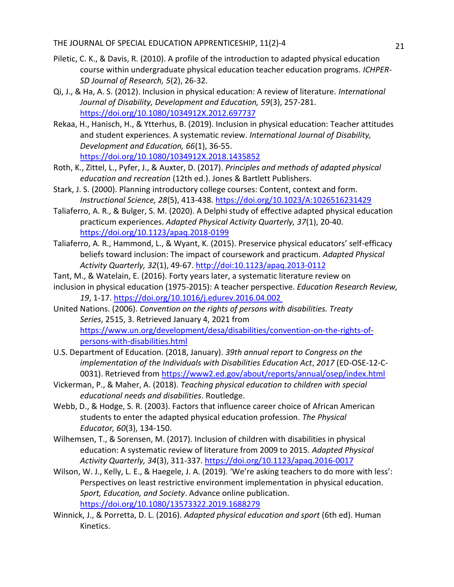- Piletic, C. K., & Davis, R. (2010). A profile of the introduction to adapted physical education course within undergraduate physical education teacher education programs. *ICHPER-SD Journal of Research, 5*(2), 26-32.
- Qi, J., & Ha, A. S. (2012). Inclusion in physical education: A review of literature. *International Journal of Disability, Development and Education, 59*(3), 257-281. <https://doi.org/10.1080/1034912X.2012.697737>
- Rekaa, H., Hanisch, H., & Ytterhus, B. (2019). Inclusion in physical education: Teacher attitudes and student experiences. A systematic review. *International Journal of Disability, Development and Education, 66*(1), 36-55. <https://doi.org/10.1080/1034912X.2018.1435852>
- Roth, K., Zittel, L., Pyfer, J., & Auxter, D. (2017). *Principles and methods of adapted physical education and recreation* (12th ed.). Jones & Bartlett Publishers.
- Stark, J. S. (2000). Planning introductory college courses: Content, context and form. *Instructional Science, 28*(5), 413-438.<https://doi.org/10.1023/A:1026516231429>
- Taliaferro, A. R., & Bulger, S. M. (2020). A Delphi study of effective adapted physical education practicum experiences. *Adapted Physical Activity Quarterly, 37*(1), 20-40. <https://doi.org/10.1123/apaq.2018-0199>
- Taliaferro, A. R., Hammond, L., & Wyant, K. (2015). Preservice physical educators' self-efficacy beliefs toward inclusion: The impact of coursework and practicum. *Adapted Physical Activity Quarterly, 32*(1), 49-67.<http://doi:10.1123/apaq.2013-0112>
- Tant, M., & Watelain, E. (2016). Forty years later, a systematic literature review on
- inclusion in physical education (1975-2015): A teacher perspective. *Education Research Review, 19*, 1-17.<https://doi.org/10.1016/j.edurev.2016.04.002>
- United Nations. (2006). *Convention on the rights of persons with disabilities. Treaty Series*, 2515, 3. Retrieved January 4, 2021 from [https://www.un.org/development/desa/disabilities/convention-on-the-rights-of](https://www.un.org/development/desa/disabilities/convention-on-the-rights-of-persons-with-disabilities.html)[persons-with-disabilities.html](https://www.un.org/development/desa/disabilities/convention-on-the-rights-of-persons-with-disabilities.html)
- U.S. Department of Education. (2018, January). *39th annual report to Congress on the implementation of the Individuals with Disabilities Education Act*, *2017* (ED-OSE-12-C-0031). Retrieved from https://www2.ed.gov/about/reports/annual/osep/index.html
- Vickerman, P., & Maher, A. (2018). *Teaching physical education to children with special educational needs and disabilities*. Routledge.
- Webb, D., & Hodge, S. R. (2003). Factors that influence career choice of African American students to enter the adapted physical education profession. *The Physical Educator, 60*(3), 134-150.
- Wilhemsen, T., & Sorensen, M. (2017). Inclusion of children with disabilities in physical education: A systematic review of literature from 2009 to 2015. *Adapted Physical Activity Quarterly, 34*(3), 311-337.<https://doi.org/10.1123/apaq.2016-0017>
- Wilson, W. J., Kelly, L. E., & Haegele, J. A. (2019). 'We're asking teachers to do more with less': Perspectives on least restrictive environment implementation in physical education. *Sport, Education, and Society*. Advance online publication. <https://doi.org/10.1080/13573322.2019.1688279>
- Winnick, J., & Porretta, D. L. (2016). *Adapted physical education and sport* (6th ed). Human Kinetics.